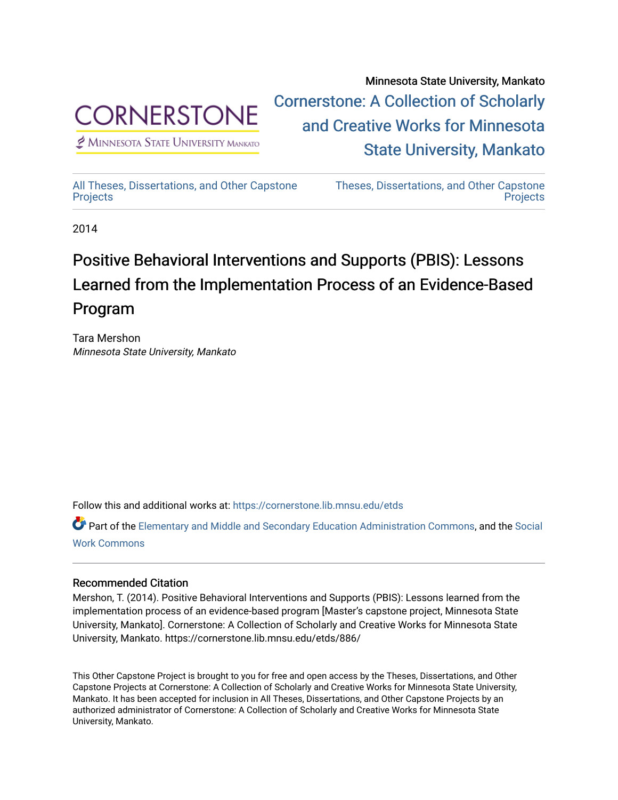

 $<sup>2</sup>$  Minnesota State University Mankato</sup>

Minnesota State University, Mankato [Cornerstone: A Collection of Scholarly](https://cornerstone.lib.mnsu.edu/)  [and Creative Works for Minnesota](https://cornerstone.lib.mnsu.edu/)  [State University, Mankato](https://cornerstone.lib.mnsu.edu/) 

[All Theses, Dissertations, and Other Capstone](https://cornerstone.lib.mnsu.edu/etds)  **[Projects](https://cornerstone.lib.mnsu.edu/etds)** 

[Theses, Dissertations, and Other Capstone](https://cornerstone.lib.mnsu.edu/theses_dissertations-capstone)  **Projects** 

2014

#### Positive Behavioral Interventions and Supports (PBIS): Lessons Learned from the Implementation Process of an Evidence-Based Program

Tara Mershon Minnesota State University, Mankato

Follow this and additional works at: [https://cornerstone.lib.mnsu.edu/etds](https://cornerstone.lib.mnsu.edu/etds?utm_source=cornerstone.lib.mnsu.edu%2Fetds%2F886&utm_medium=PDF&utm_campaign=PDFCoverPages) 

Part of the [Elementary and Middle and Secondary Education Administration Commons](http://network.bepress.com/hgg/discipline/790?utm_source=cornerstone.lib.mnsu.edu%2Fetds%2F886&utm_medium=PDF&utm_campaign=PDFCoverPages), and the [Social](http://network.bepress.com/hgg/discipline/713?utm_source=cornerstone.lib.mnsu.edu%2Fetds%2F886&utm_medium=PDF&utm_campaign=PDFCoverPages)  [Work Commons](http://network.bepress.com/hgg/discipline/713?utm_source=cornerstone.lib.mnsu.edu%2Fetds%2F886&utm_medium=PDF&utm_campaign=PDFCoverPages)

#### Recommended Citation

Mershon, T. (2014). Positive Behavioral Interventions and Supports (PBIS): Lessons learned from the implementation process of an evidence-based program [Master's capstone project, Minnesota State University, Mankato]. Cornerstone: A Collection of Scholarly and Creative Works for Minnesota State University, Mankato. https://cornerstone.lib.mnsu.edu/etds/886/

This Other Capstone Project is brought to you for free and open access by the Theses, Dissertations, and Other Capstone Projects at Cornerstone: A Collection of Scholarly and Creative Works for Minnesota State University, Mankato. It has been accepted for inclusion in All Theses, Dissertations, and Other Capstone Projects by an authorized administrator of Cornerstone: A Collection of Scholarly and Creative Works for Minnesota State University, Mankato.